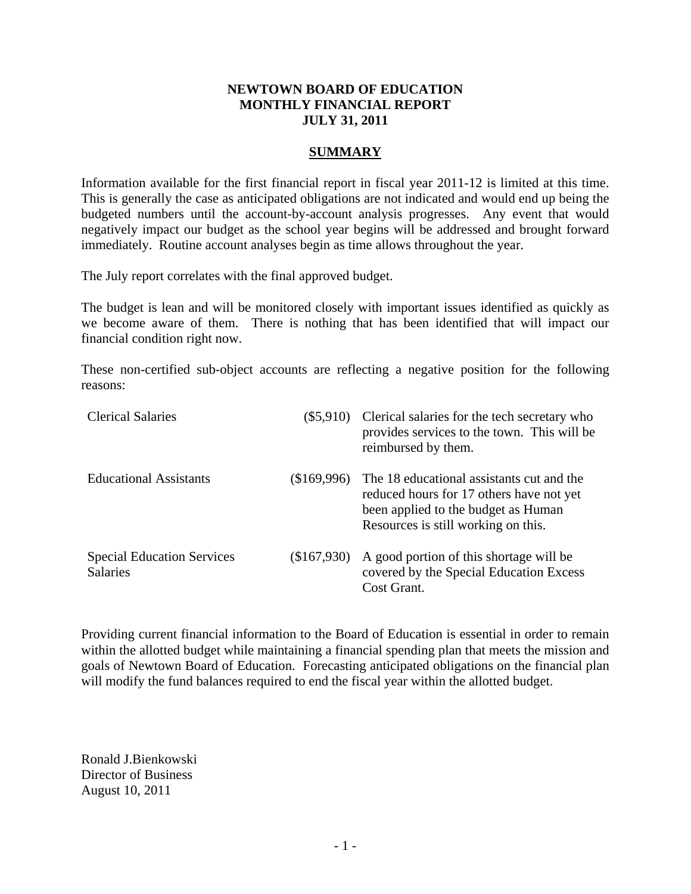# **NEWTOWN BOARD OF EDUCATION MONTHLY FINANCIAL REPORT JULY 31, 2011**

# **SUMMARY**

Information available for the first financial report in fiscal year 2011-12 is limited at this time. This is generally the case as anticipated obligations are not indicated and would end up being the budgeted numbers until the account-by-account analysis progresses. Any event that would negatively impact our budget as the school year begins will be addressed and brought forward immediately. Routine account analyses begin as time allows throughout the year.

The July report correlates with the final approved budget.

The budget is lean and will be monitored closely with important issues identified as quickly as we become aware of them. There is nothing that has been identified that will impact our financial condition right now.

These non-certified sub-object accounts are reflecting a negative position for the following reasons:

| <b>Clerical Salaries</b>                             |             | (\$5,910) Clerical salaries for the tech secretary who<br>provides services to the town. This will be<br>reimbursed by them.                                        |
|------------------------------------------------------|-------------|---------------------------------------------------------------------------------------------------------------------------------------------------------------------|
| <b>Educational Assistants</b>                        | \$169,996   | The 18 educational assistants cut and the<br>reduced hours for 17 others have not yet<br>been applied to the budget as Human<br>Resources is still working on this. |
| <b>Special Education Services</b><br><b>Salaries</b> | (\$167,930) | A good portion of this shortage will be<br>covered by the Special Education Excess<br>Cost Grant.                                                                   |

Providing current financial information to the Board of Education is essential in order to remain within the allotted budget while maintaining a financial spending plan that meets the mission and goals of Newtown Board of Education. Forecasting anticipated obligations on the financial plan will modify the fund balances required to end the fiscal year within the allotted budget.

Ronald J.Bienkowski Director of Business August 10, 2011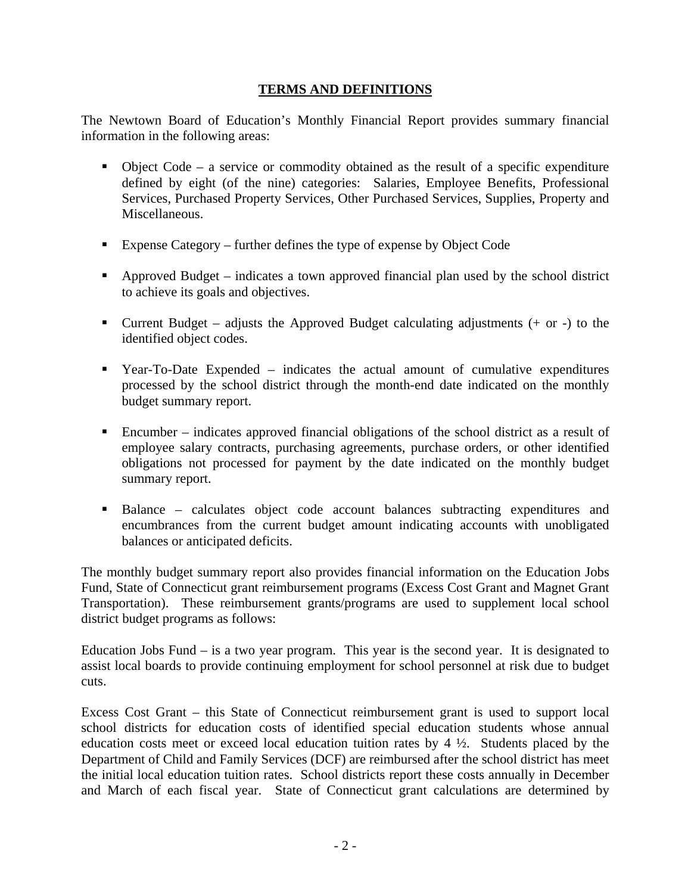# **TERMS AND DEFINITIONS**

The Newtown Board of Education's Monthly Financial Report provides summary financial information in the following areas:

- Object Code a service or commodity obtained as the result of a specific expenditure defined by eight (of the nine) categories: Salaries, Employee Benefits, Professional Services, Purchased Property Services, Other Purchased Services, Supplies, Property and Miscellaneous.
- Expense Category further defines the type of expense by Object Code
- Approved Budget indicates a town approved financial plan used by the school district to achieve its goals and objectives.
- Current Budget adjusts the Approved Budget calculating adjustments  $(+)$  or  $-)$  to the identified object codes.
- Year-To-Date Expended indicates the actual amount of cumulative expenditures processed by the school district through the month-end date indicated on the monthly budget summary report.
- Encumber indicates approved financial obligations of the school district as a result of employee salary contracts, purchasing agreements, purchase orders, or other identified obligations not processed for payment by the date indicated on the monthly budget summary report.
- Balance calculates object code account balances subtracting expenditures and encumbrances from the current budget amount indicating accounts with unobligated balances or anticipated deficits.

The monthly budget summary report also provides financial information on the Education Jobs Fund, State of Connecticut grant reimbursement programs (Excess Cost Grant and Magnet Grant Transportation). These reimbursement grants/programs are used to supplement local school district budget programs as follows:

Education Jobs Fund – is a two year program. This year is the second year. It is designated to assist local boards to provide continuing employment for school personnel at risk due to budget cuts.

Excess Cost Grant – this State of Connecticut reimbursement grant is used to support local school districts for education costs of identified special education students whose annual education costs meet or exceed local education tuition rates by  $4\frac{1}{2}$ . Students placed by the Department of Child and Family Services (DCF) are reimbursed after the school district has meet the initial local education tuition rates. School districts report these costs annually in December and March of each fiscal year. State of Connecticut grant calculations are determined by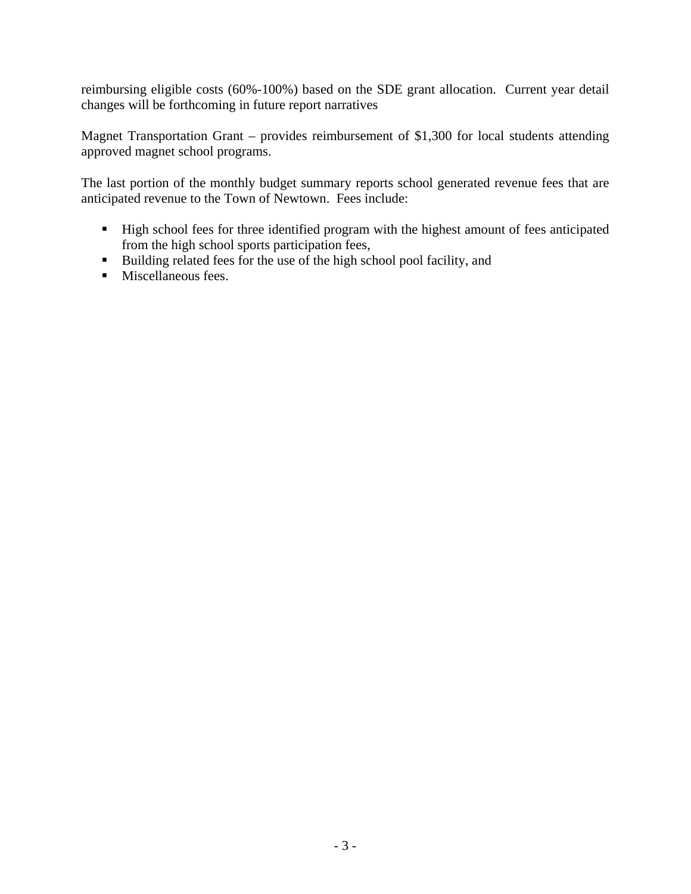reimbursing eligible costs (60%-100%) based on the SDE grant allocation. Current year detail changes will be forthcoming in future report narratives

Magnet Transportation Grant – provides reimbursement of \$1,300 for local students attending approved magnet school programs.

The last portion of the monthly budget summary reports school generated revenue fees that are anticipated revenue to the Town of Newtown. Fees include:

- High school fees for three identified program with the highest amount of fees anticipated from the high school sports participation fees,
- Building related fees for the use of the high school pool facility, and
- **Miscellaneous fees.**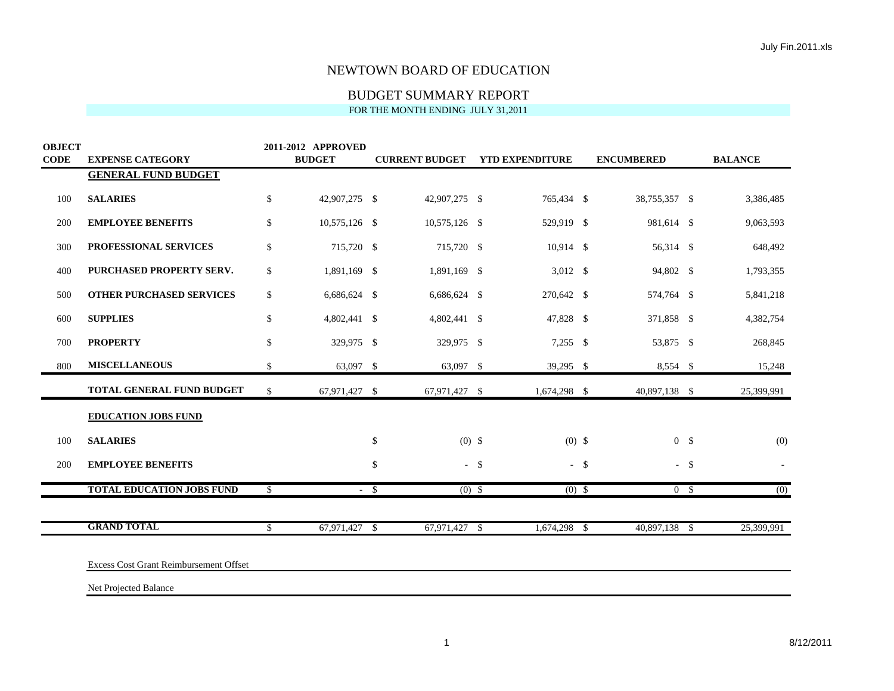| <b>OBJECT</b><br><b>CODE</b> | <b>EXPENSE CATEGORY</b>                       |              | 2011-2012 APPROVED<br><b>BUDGET</b> |              |               |        | <b>CURRENT BUDGET YTD EXPENDITURE</b> |        | <b>ENCUMBERED</b> | <b>BALANCE</b>   |
|------------------------------|-----------------------------------------------|--------------|-------------------------------------|--------------|---------------|--------|---------------------------------------|--------|-------------------|------------------|
|                              | <b>GENERAL FUND BUDGET</b>                    |              |                                     |              |               |        |                                       |        |                   |                  |
| 100                          | <b>SALARIES</b>                               | \$           | 42,907,275 \$                       |              | 42,907,275 \$ |        | 765,434 \$                            |        | 38,755,357 \$     | 3,386,485        |
| 200                          | <b>EMPLOYEE BENEFITS</b>                      | \$           | 10,575,126 \$                       |              | 10,575,126 \$ |        | 529,919 \$                            |        | 981,614 \$        | 9,063,593        |
| 300                          | PROFESSIONAL SERVICES                         | \$           | 715,720 \$                          |              | 715,720 \$    |        | 10,914 \$                             |        | 56,314 \$         | 648,492          |
| 400                          | PURCHASED PROPERTY SERV.                      | \$           | 1,891,169 \$                        |              | 1,891,169 \$  |        | $3,012$ \$                            |        | 94,802 \$         | 1,793,355        |
| 500                          | <b>OTHER PURCHASED SERVICES</b>               | \$           | 6,686,624 \$                        |              | 6,686,624 \$  |        | 270,642 \$                            |        | 574,764 \$        | 5,841,218        |
| 600                          | <b>SUPPLIES</b>                               | \$           | 4,802,441 \$                        |              | 4,802,441 \$  |        | 47,828 \$                             |        | 371,858 \$        | 4,382,754        |
| 700                          | <b>PROPERTY</b>                               | \$           | 329,975 \$                          |              | 329,975 \$    |        | $7,255$ \$                            |        | 53,875 \$         | 268,845          |
| 800                          | <b>MISCELLANEOUS</b>                          | \$           | 63,097 \$                           |              | 63,097 \$     |        | 39,295 \$                             |        | 8,554 \$          | 15,248           |
|                              | TOTAL GENERAL FUND BUDGET                     | $\mathbb{S}$ | 67,971,427 \$                       |              | 67,971,427 \$ |        | 1,674,298 \$                          |        | 40,897,138 \$     | 25,399,991       |
|                              | <b>EDUCATION JOBS FUND</b>                    |              |                                     |              |               |        |                                       |        |                   |                  |
| 100                          | <b>SALARIES</b>                               |              |                                     | \$           | $(0)$ \$      |        | $(0)$ \$                              |        | 0 <sup>5</sup>    | (0)              |
| 200                          | <b>EMPLOYEE BENEFITS</b>                      |              |                                     | \$           |               | $-$ \$ |                                       | $-$ \$ | $-$ \$            |                  |
|                              | <b>TOTAL EDUCATION JOBS FUND</b>              | $\mathbb{S}$ | $\sim$                              | $\mathbb{S}$ | $(0)$ \$      |        | $(0)$ \$                              |        | 0 <sup>8</sup>    | $\overline{(0)}$ |
|                              | <b>GRAND TOTAL</b>                            | \$           | 67,971,427                          | \$           | 67,971,427 \$ |        | 1,674,298                             | \$     | 40,897,138 \$     | 25,399,991       |
|                              |                                               |              |                                     |              |               |        |                                       |        |                   |                  |
|                              | <b>Excess Cost Grant Reimbursement Offset</b> |              |                                     |              |               |        |                                       |        |                   |                  |
|                              | Net Projected Balance                         |              |                                     |              |               |        |                                       |        |                   |                  |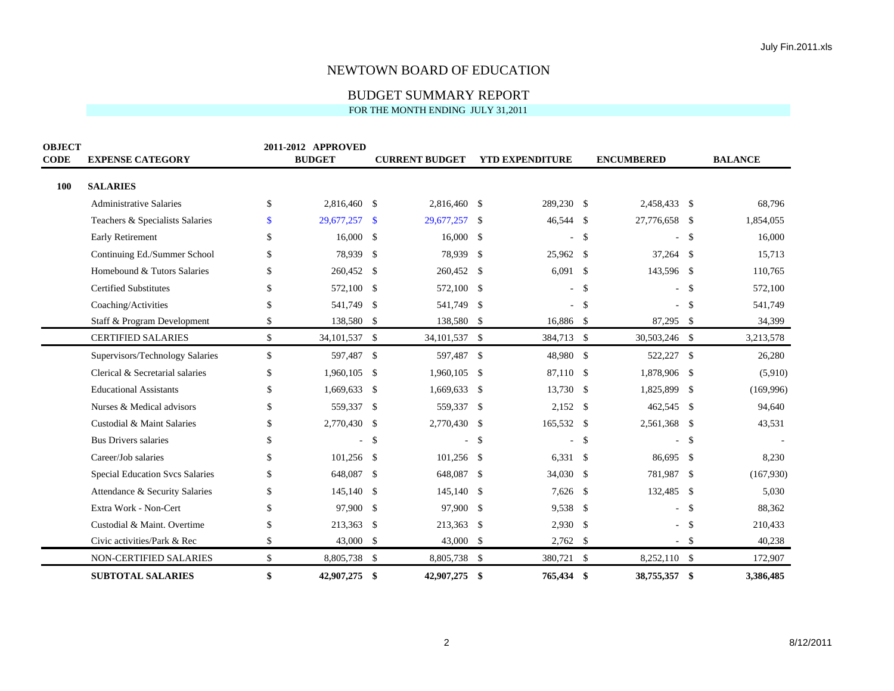# BUDGET SUMMARY REPORT

FOR THE MONTH ENDING JULY 31,2011

| <b>OBJECT</b> |                                 |     | 2011-2012 APPROVED |                    |                       |     |                        |                    |                   |             |                |
|---------------|---------------------------------|-----|--------------------|--------------------|-----------------------|-----|------------------------|--------------------|-------------------|-------------|----------------|
| <b>CODE</b>   | <b>EXPENSE CATEGORY</b>         |     | <b>BUDGET</b>      |                    | <b>CURRENT BUDGET</b> |     | <b>YTD EXPENDITURE</b> |                    | <b>ENCUMBERED</b> |             | <b>BALANCE</b> |
| 100           | <b>SALARIES</b>                 |     |                    |                    |                       |     |                        |                    |                   |             |                |
|               | <b>Administrative Salaries</b>  | \$  | 2,816,460          | -\$                | 2,816,460 \$          |     | 289,230 \$             |                    | 2,458,433 \$      |             | 68,796         |
|               | Teachers & Specialists Salaries | \$  | 29,677,257         | -\$                | 29,677,257 \$         |     | 46,544 \$              |                    | 27,776,658 \$     |             | 1,854,055      |
|               | <b>Early Retirement</b>         | \$  | 16,000             | -\$                | $16,000$ \$           |     |                        | \$                 |                   | $\mathbf S$ | 16,000         |
|               | Continuing Ed./Summer School    | S   | 78,939             | -\$                | 78,939 \$             |     | 25,962 \$              |                    | $37,264$ \$       |             | 15,713         |
|               | Homebound & Tutors Salaries     | \$  | 260,452            | -\$                | 260,452 \$            |     | $6,091$ \$             |                    | 143,596 \$        |             | 110,765        |
|               | <b>Certified Substitutes</b>    |     | 572,100            | -\$                | 572,100 \$            |     |                        | $-$ \$             |                   | $-$ \$      | 572,100        |
|               | Coaching/Activities             | S.  | 541,749            | $\mathcal{S}$      | 541,749 \$            |     |                        | $\mathbf{\hat{S}}$ | $\sim$            | - \$        | 541,749        |
|               | Staff & Program Development     | \$  | 138,580            | -\$                | 138,580 \$            |     | 16,886 \$              |                    | 87,295 \$         |             | 34,399         |
|               | <b>CERTIFIED SALARIES</b>       | \$  | 34,101,537 \$      |                    | 34, 101, 537 \$       |     | 384,713 \$             |                    | 30,503,246 \$     |             | 3,213,578      |
|               | Supervisors/Technology Salaries | \$  | 597,487 \$         |                    | 597,487 \$            |     | 48,980 \$              |                    | 522,227 \$        |             | 26,280         |
|               | Clerical & Secretarial salaries | \$. | 1,960,105          | -\$                | $1,960,105$ \$        |     | 87.110 \$              |                    | 1,878,906 \$      |             | (5,910)        |
|               | <b>Educational Assistants</b>   | \$  | 1,669,633          | -\$                | $1,669,633$ \$        |     | 13,730 \$              |                    | 1,825,899 \$      |             | (169,996)      |
|               | Nurses & Medical advisors       | \$. | 559,337            | -\$                | 559,337 \$            |     | $2,152$ \$             |                    | 462,545 \$        |             | 94,640         |
|               | Custodial & Maint Salaries      | \$  | 2,770,430          | -\$                | 2,770,430 \$          |     | 165,532 \$             |                    | 2,561,368 \$      |             | 43,531         |
|               | <b>Bus Drivers salaries</b>     | \$  | ÷.                 | -\$                |                       | -\$ |                        | \$                 |                   | - \$        |                |
|               | Career/Job salaries             | \$  | 101,256            | -\$                | $101,256$ \$          |     | $6,331$ \$             |                    | 86,695 \$         |             | 8,230          |
|               | Special Education Svcs Salaries | \$  | 648,087            | -\$                | 648,087 \$            |     | 34,030                 | \$                 | 781,987 \$        |             | (167,930)      |
|               | Attendance & Security Salaries  | S   | 145,140            | -S                 | 145,140 \$            |     | 7,626                  | -S                 | 132,485 \$        |             | 5,030          |
|               | Extra Work - Non-Cert           | \$  | 97,900             | -\$                | 97,900 \$             |     | $9,538$ \$             |                    | $\mathbf{r}$      | -\$         | 88,362         |
|               | Custodial & Maint. Overtime     | \$  | 213,363            | -\$                | 213,363 \$            |     | $2,930$ \$             |                    | $\mathbf{r}$      | - \$        | 210,433        |
|               | Civic activities/Park & Rec     | \$  | 43,000             | -\$                | 43,000 \$             |     | 2,762                  | \$                 |                   | -\$         | 40,238         |
|               | NON-CERTIFIED SALARIES          | \$  | 8,805,738          | $\mathbf{\hat{S}}$ | 8,805,738 \$          |     | 380,721                | $\mathbb{S}$       | 8,252,110 \$      |             | 172,907        |
|               | <b>SUBTOTAL SALARIES</b>        | \$  | 42,907,275         | -\$                | 42,907,275 \$         |     | 765,434 \$             |                    | 38,755,357        | - \$        | 3,386,485      |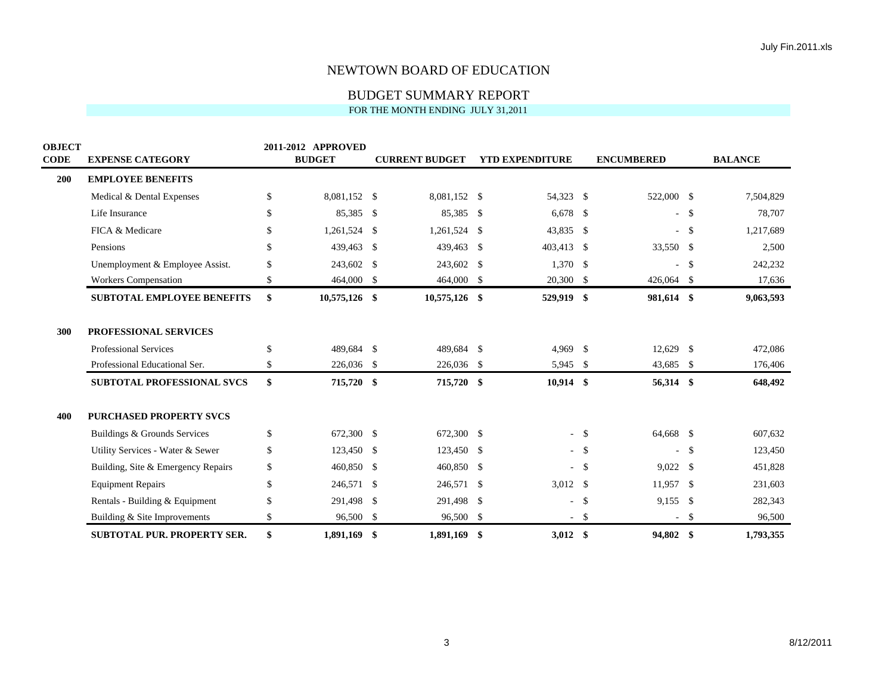| <b>OBJECT</b><br><b>CODE</b> | <b>EXPENSE CATEGORY</b>            |               | 2011-2012 APPROVED<br><b>BUDGET</b> |                    | <b>CURRENT BUDGET</b> | <b>YTD EXPENDITURE</b> |        | <b>ENCUMBERED</b> |      | <b>BALANCE</b> |
|------------------------------|------------------------------------|---------------|-------------------------------------|--------------------|-----------------------|------------------------|--------|-------------------|------|----------------|
| 200                          | <b>EMPLOYEE BENEFITS</b>           |               |                                     |                    |                       |                        |        |                   |      |                |
|                              | Medical & Dental Expenses          | \$            | 8.081.152 \$                        |                    | 8,081,152 \$          | 54,323 \$              |        | 522,000 \$        |      | 7,504,829      |
|                              | Life Insurance                     | $\mathbb{S}$  | 85,385                              | \$                 | 85,385 \$             | $6,678$ \$             |        | $\sim$            | - \$ | 78,707         |
|                              | FICA & Medicare                    | \$            | 1,261,524                           | \$                 | 1,261,524 \$          | 43,835 \$              |        | $\sim$            | -\$  | 1,217,689      |
|                              | Pensions                           | \$            | 439,463                             | \$                 | 439,463 \$            | 403,413 \$             |        | 33,550 \$         |      | 2,500          |
|                              | Unemployment & Employee Assist.    | $\mathbb{S}$  | 243,602                             | \$                 | 243,602 \$            | $1,370$ \$             |        |                   | -\$  | 242,232        |
|                              | Workers Compensation               | \$            | 464,000                             | \$                 | 464,000 \$            | 20,300 \$              |        | 426,064 \$        |      | 17,636         |
|                              | <b>SUBTOTAL EMPLOYEE BENEFITS</b>  | \$            | 10,575,126 \$                       |                    | 10,575,126 \$         | 529,919 \$             |        | 981,614 \$        |      | 9,063,593      |
| 300                          | <b>PROFESSIONAL SERVICES</b>       |               |                                     |                    |                       |                        |        |                   |      |                |
|                              | Professional Services              | \$            | 489,684 \$                          |                    | 489,684 \$            | 4,969 \$               |        | $12,629$ \$       |      | 472,086        |
|                              | Professional Educational Ser.      | \$            | 226,036 \$                          |                    | 226,036 \$            | 5,945 \$               |        | 43,685 \$         |      | 176,406        |
|                              | <b>SUBTOTAL PROFESSIONAL SVCS</b>  | \$            | 715,720                             | \$                 | 715,720 \$            | $10,914$ \$            |        | 56,314 \$         |      | 648,492        |
| 400                          | <b>PURCHASED PROPERTY SVCS</b>     |               |                                     |                    |                       |                        |        |                   |      |                |
|                              | Buildings & Grounds Services       | $\mathsf{\$}$ | 672,300                             | $\mathbf{\hat{S}}$ | 672,300 \$            |                        | $-$ \$ | 64,668 \$         |      | 607,632        |
|                              | Utility Services - Water & Sewer   | \$            | 123,450                             | \$                 | 123,450 \$            |                        | $-$ \$ |                   | -\$  | 123,450        |
|                              | Building, Site & Emergency Repairs | \$            | 460,850                             | \$                 | 460,850 \$            |                        | $-$ \$ | $9,022$ \$        |      | 451,828        |
|                              | <b>Equipment Repairs</b>           | \$            | 246,571                             | $\mathcal{S}$      | 246,571 \$            | 3,012 $\frac{1}{2}$    |        | $11,957$ \$       |      | 231,603        |
|                              | Rentals - Building & Equipment     | \$            | 291,498                             | \$                 | 291,498 \$            |                        | $-5$   | $9,155$ \$        |      | 282,343        |
|                              | Building & Site Improvements       | $\mathbb{S}$  | 96,500                              | \$                 | 96,500 \$             |                        | $-5$   |                   | -\$  | 96,500         |
|                              | <b>SUBTOTAL PUR. PROPERTY SER.</b> | \$            | 1,891,169                           | -\$                | 1,891,169 \$          | $3,012$ \$             |        | 94,802 \$         |      | 1,793,355      |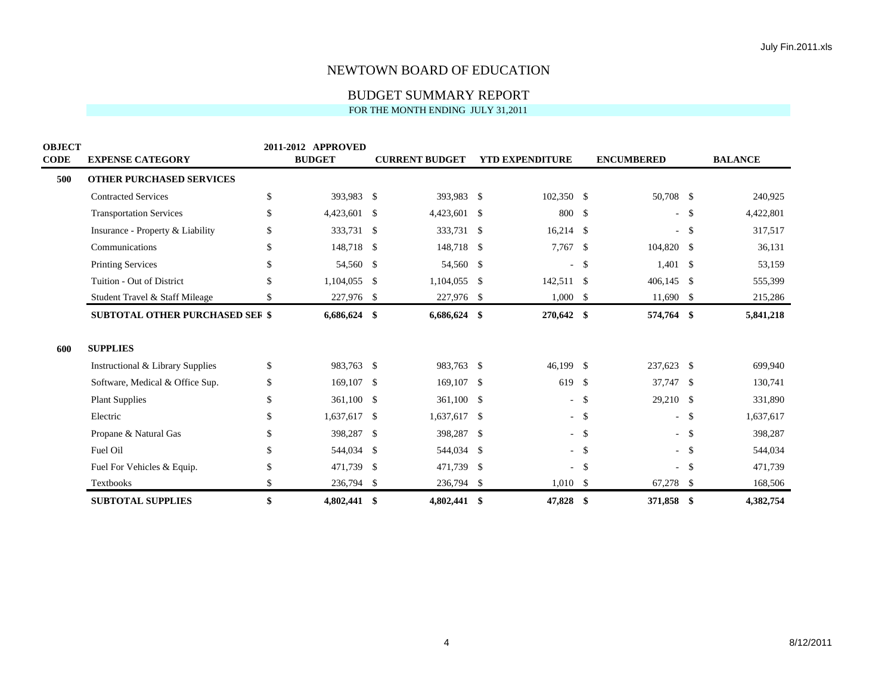| <b>OBJECT</b><br><b>CODE</b> | <b>EXPENSE CATEGORY</b>                | 2011-2012 APPROVED<br><b>BUDGET</b> |               | <b>CURRENT BUDGET</b> | <b>YTD EXPENDITURE</b> |               | <b>ENCUMBERED</b> |                    | <b>BALANCE</b> |
|------------------------------|----------------------------------------|-------------------------------------|---------------|-----------------------|------------------------|---------------|-------------------|--------------------|----------------|
| 500                          | <b>OTHER PURCHASED SERVICES</b>        |                                     |               |                       |                        |               |                   |                    |                |
|                              | <b>Contracted Services</b>             | \$<br>393.983                       | -\$           | 393,983 \$            | $102,350$ \$           |               | 50,708 \$         |                    | 240,925        |
|                              | <b>Transportation Services</b>         | \$<br>4,423,601                     | \$            | 4,423,601 \$          | 800                    | -\$           | $\sim$            | - \$               | 4,422,801      |
|                              | Insurance - Property & Liability       | \$<br>333,731                       | -\$           | 333,731 \$            | 16,214                 | -\$           | $\sim$            | $\mathbf{\hat{S}}$ | 317,517        |
|                              | Communications                         | \$<br>148,718                       | -\$           | 148,718 \$            | 7,767 \$               |               | 104,820 \$        |                    | 36,131         |
|                              | <b>Printing Services</b>               | \$<br>54,560                        | -\$           | 54,560 \$             | $\sim$                 | $\mathbb{S}$  | $1,401$ \$        |                    | 53,159         |
|                              | Tuition - Out of District              | \$<br>1,104,055                     | -\$           | $1,104,055$ \$        | 142,511 \$             |               | $406,145$ \$      |                    | 555,399        |
|                              | Student Travel & Staff Mileage         | \$<br>227,976                       | -\$           | 227,976 \$            | $1,000$ \$             |               | $11,690$ \$       |                    | 215,286        |
|                              | <b>SUBTOTAL OTHER PURCHASED SEF \$</b> | 6,686,624                           | \$            | $6,686,624$ \$        | 270,642 \$             |               | 574,764 \$        |                    | 5,841,218      |
| 600                          | <b>SUPPLIES</b>                        |                                     |               |                       |                        |               |                   |                    |                |
|                              | Instructional & Library Supplies       | \$<br>983,763 \$                    |               | 983,763 \$            | 46,199 \$              |               | 237,623 \$        |                    | 699,940        |
|                              | Software, Medical & Office Sup.        | \$<br>169,107                       | -\$           | 169,107 \$            | 619                    | <sup>\$</sup> | 37,747 \$         |                    | 130,741        |
|                              | <b>Plant Supplies</b>                  | \$<br>361,100                       | -\$           | 361,100 \$            | $\sim$ $-$             | \$            | 29,210 \$         |                    | 331,890        |
|                              | Electric                               | \$<br>1,637,617                     | \$            | 1,637,617 \$          |                        | $-$ \$        | $\sim$            | -\$                | 1,637,617      |
|                              | Propane & Natural Gas                  | \$<br>398,287                       | \$            | 398,287 \$            |                        | $-$ \$        | $\sim$            | -\$                | 398,287        |
|                              | Fuel Oil                               | \$<br>544,034                       | $\mathcal{S}$ | 544,034 \$            |                        | $-$ \$        | $\sim$            | $\mathbf{s}$       | 544,034        |
|                              | Fuel For Vehicles & Equip.             | \$<br>471,739                       | -\$           | 471,739 \$            | $\sim$                 | -\$           | $\sim$            | -S                 | 471,739        |
|                              | Textbooks                              | \$<br>236,794 \$                    |               | 236,794 \$            | $1,010$ \$             |               | 67,278 \$         |                    | 168,506        |
|                              | <b>SUBTOTAL SUPPLIES</b>               | \$<br>4,802,441 \$                  |               | 4,802,441 \$          | 47,828 \$              |               | 371,858 \$        |                    | 4,382,754      |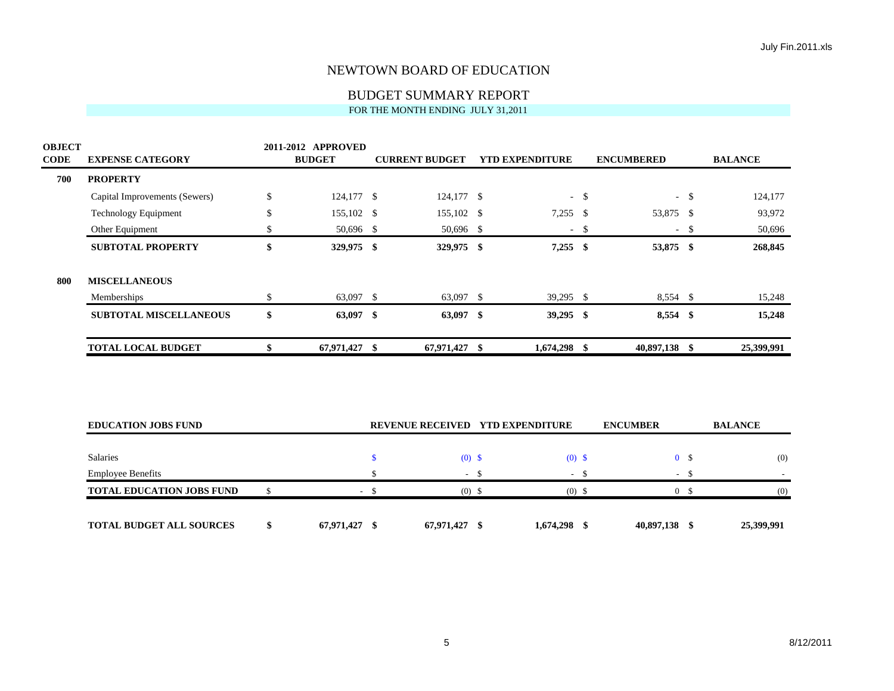| <b>OBJECT</b><br><b>CODE</b> | <b>EXPENSE CATEGORY</b>          | 2011-2012 APPROVED<br><b>BUDGET</b> |               | <b>CURRENT BUDGET</b> |        | <b>YTD EXPENDITURE</b>           |        | <b>ENCUMBERED</b> |                | <b>BALANCE</b>           |
|------------------------------|----------------------------------|-------------------------------------|---------------|-----------------------|--------|----------------------------------|--------|-------------------|----------------|--------------------------|
| 700                          | <b>PROPERTY</b>                  |                                     |               |                       |        |                                  |        |                   |                |                          |
|                              | Capital Improvements (Sewers)    | \$<br>124,177 \$                    |               | 124,177 \$            |        |                                  | $-$ \$ |                   | $-$ \$         | 124,177                  |
|                              | Technology Equipment             | \$<br>155,102 \$                    |               | 155,102 \$            |        | $7,255$ \$                       |        | 53,875 \$         |                | 93,972                   |
|                              | Other Equipment                  | \$<br>50,696 \$                     |               | 50,696 \$             |        |                                  | $-$ \$ |                   | $-$ \$         | 50,696                   |
|                              | <b>SUBTOTAL PROPERTY</b>         | \$<br>329,975 \$                    |               | 329,975 \$            |        | $7,255$ \$                       |        | 53,875 \$         |                | 268,845                  |
| 800                          | <b>MISCELLANEOUS</b>             |                                     |               |                       |        |                                  |        |                   |                |                          |
|                              | Memberships                      | \$<br>63,097 \$                     |               | 63,097 \$             |        | $39,295$ \$                      |        | $8,554$ \$        |                | 15,248                   |
|                              | <b>SUBTOTAL MISCELLANEOUS</b>    | \$<br>63,097 \$                     |               | 63,097 \$             |        | $39,295$ \$                      |        | 8,554 \$          |                | 15,248                   |
|                              | <b>TOTAL LOCAL BUDGET</b>        | \$<br>67,971,427 \$                 |               | 67,971,427 \$         |        | 1,674,298 \$                     |        | 40,897,138 \$     |                | 25,399,991               |
|                              | <b>EDUCATION JOBS FUND</b>       |                                     |               |                       |        | REVENUE RECEIVED YTD EXPENDITURE |        | <b>ENCUMBER</b>   |                | <b>BALANCE</b>           |
|                              |                                  |                                     |               |                       |        |                                  |        |                   |                |                          |
|                              | <b>Salaries</b>                  |                                     | $\mathbf{\$}$ | $(0)$ \$              |        | $(0)$ \$                         |        |                   | 0 <sup>5</sup> | (0)                      |
|                              | <b>Employee Benefits</b>         |                                     | $\mathbb{S}$  |                       | $-$ \$ |                                  | $-$ \$ |                   | $-$ \$         | $\overline{\phantom{a}}$ |
|                              | <b>TOTAL EDUCATION JOBS FUND</b> | \$                                  | $-$ \$        | $(0)$ \$              |        | $(0)$ \$                         |        |                   | 0 <sup>5</sup> | (0)                      |
|                              | <b>TOTAL BUDGET ALL SOURCES</b>  | \$<br>67,971,427 \$                 |               | 67,971,427 \$         |        | 1,674,298 \$                     |        | 40,897,138 \$     |                | 25,399,991               |